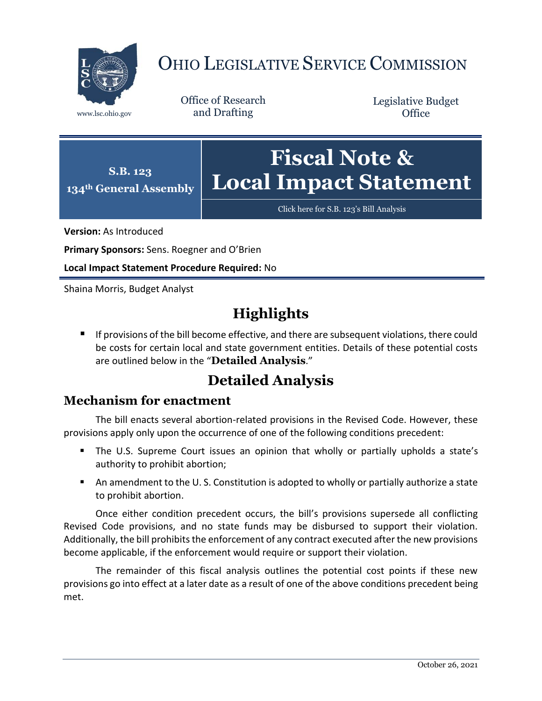

# OHIO LEGISLATIVE SERVICE COMMISSION

Office of Research www.lsc.ohio.gov and Drafting

Legislative Budget **Office** 



[Click here for S.B. 123](https://www.legislature.ohio.gov/legislation/legislation-documents?id=GA134-SB-123)'s Bill Analysis

**Version:** As Introduced

**Primary Sponsors:** Sens. Roegner and O'Brien

**Local Impact Statement Procedure Required:** No

Shaina Morris, Budget Analyst

## **Highlights**

**If provisions of the bill become effective, and there are subsequent violations, there could** be costs for certain local and state government entities. Details of these potential costs are outlined below in the "**Detailed Analysis**."

## **Detailed Analysis**

#### **Mechanism for enactment**

The bill enacts several abortion-related provisions in the Revised Code. However, these provisions apply only upon the occurrence of one of the following conditions precedent:

- The U.S. Supreme Court issues an opinion that wholly or partially upholds a state's authority to prohibit abortion;
- An amendment to the U. S. Constitution is adopted to wholly or partially authorize a state to prohibit abortion.

Once either condition precedent occurs, the bill's provisions supersede all conflicting Revised Code provisions, and no state funds may be disbursed to support their violation. Additionally, the bill prohibits the enforcement of any contract executed after the new provisions become applicable, if the enforcement would require or support their violation.

The remainder of this fiscal analysis outlines the potential cost points if these new provisions go into effect at a later date as a result of one of the above conditions precedent being met.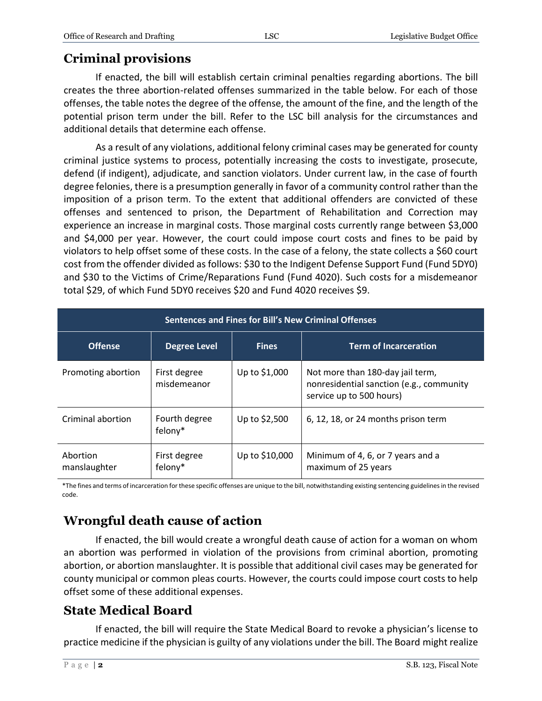#### **Criminal provisions**

If enacted, the bill will establish certain criminal penalties regarding abortions. The bill creates the three abortion-related offenses summarized in the table below. For each of those offenses, the table notes the degree of the offense, the amount of the fine, and the length of the potential prison term under the bill. Refer to the LSC bill analysis for the circumstances and additional details that determine each offense.

As a result of any violations, additional felony criminal cases may be generated for county criminal justice systems to process, potentially increasing the costs to investigate, prosecute, defend (if indigent), adjudicate, and sanction violators. Under current law, in the case of fourth degree felonies, there is a presumption generally in favor of a community control rather than the imposition of a prison term. To the extent that additional offenders are convicted of these offenses and sentenced to prison, the Department of Rehabilitation and Correction may experience an increase in marginal costs. Those marginal costs currently range between \$3,000 and \$4,000 per year. However, the court could impose court costs and fines to be paid by violators to help offset some of these costs. In the case of a felony, the state collects a \$60 court cost from the offender divided as follows: \$30 to the Indigent Defense Support Fund (Fund 5DY0) and \$30 to the Victims of Crime/Reparations Fund (Fund 4020). Such costs for a misdemeanor total \$29, of which Fund 5DY0 receives \$20 and Fund 4020 receives \$9.

| Sentences and Fines for Bill's New Criminal Offenses |                             |                |                                                                                                          |
|------------------------------------------------------|-----------------------------|----------------|----------------------------------------------------------------------------------------------------------|
| <b>Offense</b>                                       | <b>Degree Level</b>         | <b>Fines</b>   | <b>Term of Incarceration</b>                                                                             |
| Promoting abortion                                   | First degree<br>misdemeanor | Up to \$1,000  | Not more than 180-day jail term,<br>nonresidential sanction (e.g., community<br>service up to 500 hours) |
| Criminal abortion                                    | Fourth degree<br>felony*    | Up to \$2,500  | 6, 12, 18, or 24 months prison term                                                                      |
| Abortion<br>manslaughter                             | First degree<br>felony*     | Up to \$10,000 | Minimum of 4, 6, or 7 years and a<br>maximum of 25 years                                                 |

\*The fines and terms of incarceration for these specific offenses are unique to the bill, notwithstanding existing sentencing guidelines in the revised code.

## **Wrongful death cause of action**

If enacted, the bill would create a wrongful death cause of action for a woman on whom an abortion was performed in violation of the provisions from criminal abortion, promoting abortion, or abortion manslaughter. It is possible that additional civil cases may be generated for county municipal or common pleas courts. However, the courts could impose court costs to help offset some of these additional expenses.

#### **State Medical Board**

If enacted, the bill will require the State Medical Board to revoke a physician's license to practice medicine if the physician is guilty of any violations under the bill. The Board might realize